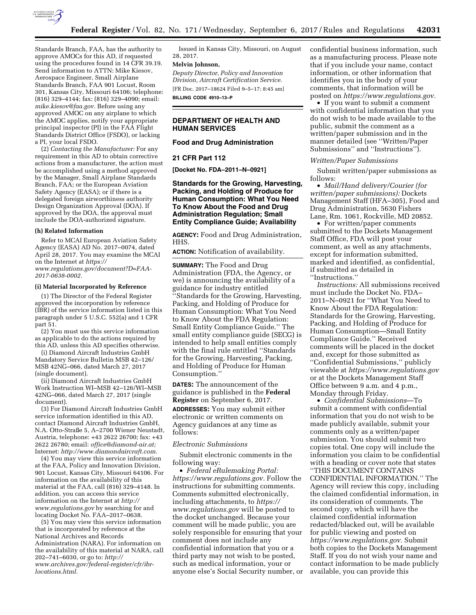

Standards Branch, FAA, has the authority to approve AMOCs for this AD, if requested using the procedures found in 14 CFR 39.19. Send information to ATTN: Mike Kiesov, Aerospace Engineer, Small Airplane Standards Branch, FAA 901 Locust, Room 301, Kansas City, Missouri 64106; telephone: (816) 329–4144; fax: (816) 329–4090; email: *[mike.kiesov@faa.gov.](mailto:mike.kiesov@faa.gov)* Before using any approved AMOC on any airplane to which the AMOC applies, notify your appropriate principal inspector (PI) in the FAA Flight Standards District Office (FSDO), or lacking a PI, your local FSDO.

(2) *Contacting the Manufacturer:* For any requirement in this AD to obtain corrective actions from a manufacturer, the action must be accomplished using a method approved by the Manager, Small Airplane Standards Branch, FAA; or the European Aviation Safety Agency (EASA); or if there is a delegated foreign airworthiness authority Design Organization Approval (DOA). If approved by the DOA, the approval must include the DOA-authorized signature.

### **(h) Related Information**

Refer to MCAI European Aviation Safety Agency (EASA) AD No. 2017–0074, dated April 28, 2017. You may examine the MCAI on the Internet at *[https://](https://www.regulations.gov/document?D=FAA-2017-0638-0002) [www.regulations.gov/document?D=FAA-](https://www.regulations.gov/document?D=FAA-2017-0638-0002)*

*[2017-0638-0002.](https://www.regulations.gov/document?D=FAA-2017-0638-0002)* 

## **(i) Material Incorporated by Reference**

(1) The Director of the Federal Register approved the incorporation by reference (IBR) of the service information listed in this paragraph under 5 U.S.C. 552(a) and 1 CFR part 51.

(2) You must use this service information as applicable to do the actions required by this AD, unless this AD specifies otherwise.

(i) Diamond Aircraft Industries GmbH Mandatory Service Bulletin MSB 42–126/ MSB 42NG–066, dated March 27, 2017 (single document).

(ii) Diamond Aircraft Industries GmbH Work Instruction WI–MSB 42–126/WI–MSB 42NG–066, dated March 27, 2017 (single document).

(3) For Diamond Aircraft Industries GmbH service information identified in this AD, contact Diamond Aircraft Industries GmbH, N.A. Otto-Straße 5, A–2700 Wiener Neustadt, Austria, telephone: +43 2622 26700; fax: +43 2622 26780; email: *[office@diamond-air.at;](mailto:office@diamond-air.at)*  Internet: *[http://www.diamondaircraft.com.](http://www.diamondaircraft.com)* 

(4) You may view this service information at the FAA, Policy and Innovation Division, 901 Locust, Kansas City, Missouri 64106. For information on the availability of this material at the FAA, call (816) 329–4148. In addition, you can access this service information on the Internet at *[http://](http://www.regulations.gov) [www.regulations.gov](http://www.regulations.gov)* by searching for and locating Docket No. FAA-2017-0638.

(5) You may view this service information that is incorporated by reference at the National Archives and Records Administration (NARA). For information on the availability of this material at NARA, call 202–741–6030, or go to: *[http://](http://www.archives.gov/federal-register/cfr/ibr-locations.html) [www.archives.gov/federal-register/cfr/ibr](http://www.archives.gov/federal-register/cfr/ibr-locations.html)[locations.html.](http://www.archives.gov/federal-register/cfr/ibr-locations.html)* 

Issued in Kansas City, Missouri, on August 28, 2017.

# **Melvin Johnson,**

*Deputy Director, Policy and Innovation Division, Aircraft Certification Service.*  [FR Doc. 2017–18624 Filed 9–5–17; 8:45 am] **BILLING CODE 4910–13–P** 

# **DEPARTMENT OF HEALTH AND HUMAN SERVICES**

### **Food and Drug Administration**

## **21 CFR Part 112**

**[Docket No. FDA–2011–N–0921]** 

# **Standards for the Growing, Harvesting, Packing, and Holding of Produce for Human Consumption: What You Need To Know About the Food and Drug Administration Regulation; Small Entity Compliance Guide; Availability**

**AGENCY:** Food and Drug Administration, HHS.

**ACTION:** Notification of availability.

**SUMMARY:** The Food and Drug Administration (FDA, the Agency, or we) is announcing the availability of a guidance for industry entitled ''Standards for the Growing, Harvesting, Packing, and Holding of Produce for Human Consumption: What You Need to Know About the FDA Regulation: Small Entity Compliance Guide.'' The small entity compliance guide (SECG) is intended to help small entities comply with the final rule entitled ''Standards for the Growing, Harvesting, Packing, and Holding of Produce for Human Consumption.''

**DATES:** The announcement of the guidance is published in the **Federal Register** on September 6, 2017.

**ADDRESSES:** You may submit either electronic or written comments on Agency guidances at any time as follows:

### *Electronic Submissions*

Submit electronic comments in the following way:

• *Federal eRulemaking Portal: [https://www.regulations.gov.](https://www.regulations.gov)* Follow the instructions for submitting comments. Comments submitted electronically, including attachments, to *[https://](https://www.regulations.gov) [www.regulations.gov](https://www.regulations.gov)* will be posted to the docket unchanged. Because your comment will be made public, you are solely responsible for ensuring that your comment does not include any confidential information that you or a third party may not wish to be posted, such as medical information, your or anyone else's Social Security number, or confidential business information, such as a manufacturing process. Please note that if you include your name, contact information, or other information that identifies you in the body of your comments, that information will be posted on *[https://www.regulations.gov.](https://www.regulations.gov)* 

• If you want to submit a comment with confidential information that you do not wish to be made available to the public, submit the comment as a written/paper submission and in the manner detailed (see ''Written/Paper Submissions'' and ''Instructions'').

## *Written/Paper Submissions*

Submit written/paper submissions as follows:

• *Mail/Hand delivery/Courier (for written/paper submissions):* Dockets Management Staff (HFA–305), Food and Drug Administration, 5630 Fishers Lane, Rm. 1061, Rockville, MD 20852.

• For written/paper comments submitted to the Dockets Management Staff Office, FDA will post your comment, as well as any attachments, except for information submitted, marked and identified, as confidential, if submitted as detailed in ''Instructions.''

*Instructions:* All submissions received must include the Docket No. FDA– 2011–N–0921 for ''What You Need to Know About the FDA Regulation: Standards for the Growing, Harvesting, Packing, and Holding of Produce for Human Consumption—Small Entity Compliance Guide.'' Received comments will be placed in the docket and, except for those submitted as ''Confidential Submissions,'' publicly viewable at *<https://www.regulations.gov>* or at the Dockets Management Staff Office between 9 a.m. and 4 p.m., Monday through Friday.

• *Confidential Submissions*—To submit a comment with confidential information that you do not wish to be made publicly available, submit your comments only as a written/paper submission. You should submit two copies total. One copy will include the information you claim to be confidential with a heading or cover note that states ''THIS DOCUMENT CONTAINS CONFIDENTIAL INFORMATION.'' The Agency will review this copy, including the claimed confidential information, in its consideration of comments. The second copy, which will have the claimed confidential information redacted/blacked out, will be available for public viewing and posted on *[https://www.regulations.gov.](https://www.regulations.gov)* Submit both copies to the Dockets Management Staff. If you do not wish your name and contact information to be made publicly available, you can provide this